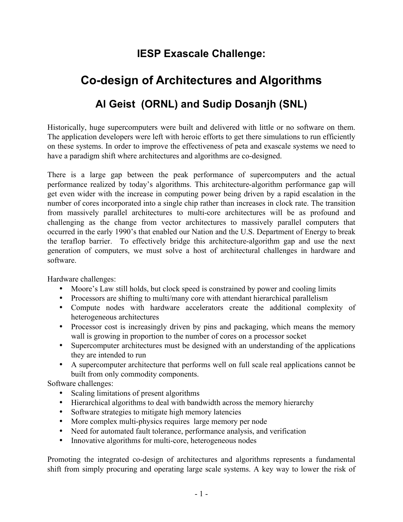## **IESP Exascale Challenge:**

## **Co-design of Architectures and Algorithms Al Geist (ORNL) and Sudip Dosanjh (SNL)**

Historically, huge supercomputers were built and delivered with little or no software on them. The application developers were left with heroic efforts to get there simulations to run efficiently on these systems. In order to improve the effectiveness of peta and exascale systems we need to have a paradigm shift where architectures and algorithms are co-designed.

There is a large gap between the peak performance of supercomputers and the actual performance realized by today's algorithms. This architecture-algorithm performance gap will get even wider with the increase in computing power being driven by a rapid escalation in the number of cores incorporated into a single chip rather than increases in clock rate. The transition from massively parallel architectures to multi-core architectures will be as profound and challenging as the change from vector architectures to massively parallel computers that occurred in the early 1990's that enabled our Nation and the U.S. Department of Energy to break the teraflop barrier. To effectively bridge this architecture-algorithm gap and use the next generation of computers, we must solve a host of architectural challenges in hardware and software.

Hardware challenges:

- Moore's Law still holds, but clock speed is constrained by power and cooling limits
- Processors are shifting to multi/many core with attendant hierarchical parallelism
- Compute nodes with hardware accelerators create the additional complexity of heterogeneous architectures
- Processor cost is increasingly driven by pins and packaging, which means the memory wall is growing in proportion to the number of cores on a processor socket
- Supercomputer architectures must be designed with an understanding of the applications they are intended to run
- A supercomputer architecture that performs well on full scale real applications cannot be built from only commodity components.

Software challenges:

- Scaling limitations of present algorithms
- Hierarchical algorithms to deal with bandwidth across the memory hierarchy
- Software strategies to mitigate high memory latencies
- More complex multi-physics requires large memory per node
- Need for automated fault tolerance, performance analysis, and verification
- Innovative algorithms for multi-core, heterogeneous nodes

Promoting the integrated co-design of architectures and algorithms represents a fundamental shift from simply procuring and operating large scale systems. A key way to lower the risk of